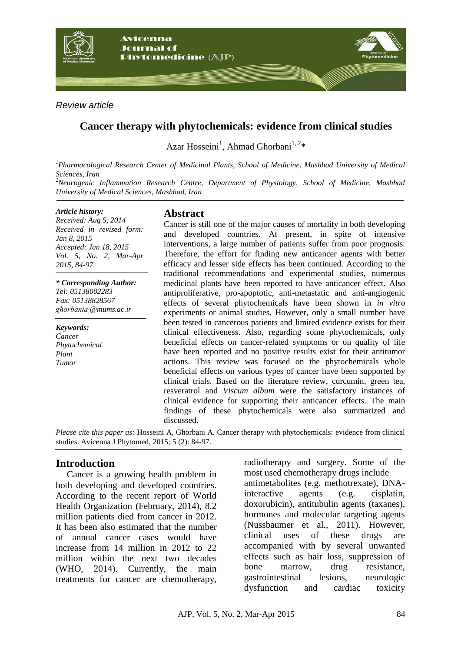

*Review article*

## **Cancer therapy with phytochemicals: evidence from clinical studies**

Azar Hosseini<sup>1</sup>, Ahmad Ghorbani<sup>1, 2</sup>\*

*<sup>1</sup>Pharmacological Research Center of Medicinal Plants, School of Medicine, Mashhad University of Medical Sciences, Iran <sup>2</sup>Neurogenic Inflammation Research Centre, Department of Physiology, School of Medicine, Mashhad* 

*University of Medical Sciences, Mashhad, Iran*

#### *Article history:*

*Received: Aug 5, 2014 Received in revised form: Jan 8, 2015 Accepted: Jan 18, 2015 Vol. 5, No. 2, Mar-Apr 2015, 84-97.*

*\* Corresponding Author: Tel: 05138002283 Fax: 05138828567 ainabgohg @mums.ac.ir*

*Keywords: Cancer Phytochemical Plant Tumor*

## **Abstract**

Cancer is still one of the major causes of mortality in both developing and developed countries. At present, in spite of intensive interventions, a large number of patients suffer from poor prognosis. Therefore, the effort for finding new anticancer agents with better efficacy and lesser side effects has been continued. According to the traditional recommendations and experimental studies, numerous medicinal plants have been reported to have anticancer effect. Also antiproliferative, pro-apoptotic, anti-metastatic and anti-angiogenic effects of several phytochemicals have been shown in *in vitro* experiments or animal studies. However, only a small number have been tested in cancerous patients and limited evidence exists for their clinical effectiveness. Also, regarding some phytochemicals, only beneficial effects on cancer-related symptoms or on quality of life have been reported and no positive results exist for their antitumor actions. This review was focused on the phytochemicals whole beneficial effects on various types of cancer have been supported by clinical trials. Based on the literature review, curcumin, green tea, resveratrol and *Viscum album* were the satisfactory instances of clinical evidence for supporting their anticancer effects. The main findings of these phytochemicals were also summarized and discussed.

*Please cite this paper as:* Hosseini A, Ghorbani A. Cancer therapy with phytochemicals: evidence from clinical studies. Avicenna J Phytomed, 2015; 5 (2): 84-97.

## **Introduction**

Cancer is a growing health problem in both developing and developed countries. According to the recent report of World Health Organization (February, 2014), 8.2 million patients died from cancer in 2012. It has been also estimated that the number of annual cancer cases would have increase from 14 million in 2012 to 22 million within the next two decades (WHO, 2014). Currently, the main treatments for cancer are chemotherapy,

radiotherapy and surgery. Some of the most used chemotherapy drugs include antimetabolites (e.g. methotrexate), DNAinteractive agents (e.g. cisplatin, doxorubicin), antitubulin agents (taxanes), hormones and molecular targeting agents (Nussbaumer et al., 2011). However, clinical uses of these drugs are accompanied with by several unwanted effects such as hair loss, suppression of bone marrow, drug resistance, gastrointestinal lesions, neurologic dysfunction and cardiac toxicity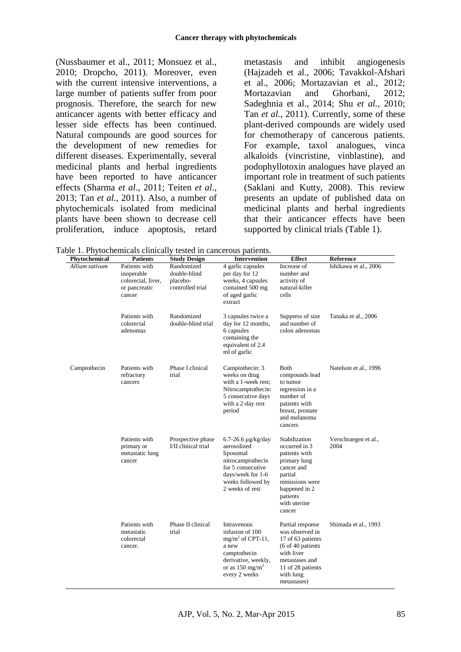(Nussbaumer et al., 2011; Monsuez et al., 2010; Dropcho, 2011). Moreover, even with the current intensive interventions, a large number of patients suffer from poor prognosis. Therefore, the search for new anticancer agents with better efficacy and lesser side effects has been continued. Natural compounds are good sources for the development of new remedies for different diseases. Experimentally, several medicinal plants and herbal ingredients have been reported to have anticancer effects (Sharma *et al*., 2011; Teiten *et al*., 2013; Tan *et al.*, 2011). Also, a number of phytochemicals isolated from medicinal plants have been shown to decrease cell proliferation, induce apoptosis, retard

metastasis and inhibit angiogenesis (Hajzadeh et al., 2006; Tavakkol-Afshari et al., 2006; Mortazavian et al., 2012; Mortazavian and Ghorbani, 2012; Sadeghnia et al., 2014; Shu *et al.*, 2010; Tan *et al.*, 2011). Currently, some of these plant-derived compounds are widely used for chemotherapy of cancerous patients. For example, taxol analogues, vinca alkaloids (vincristine, vinblastine), and podophyllotoxin analogues have played an important role in treatment of such patients (Saklani and Kutty, 2008). This review presents an update of published data on medicinal plants and herbal ingredients that their anticancer effects have been supported by clinical trials (Table 1).

| Phytochemical  | <b>Patients</b>                                                              | <b>Study Design</b>                                        | <b>Intervention</b>                                                                                                                                          | <b>Effect</b>                                                                                                                                                      | Reference                    |
|----------------|------------------------------------------------------------------------------|------------------------------------------------------------|--------------------------------------------------------------------------------------------------------------------------------------------------------------|--------------------------------------------------------------------------------------------------------------------------------------------------------------------|------------------------------|
| Allium sativum | Patients with<br>inoperable<br>colorectal, liver,<br>or pancreatic<br>cancer | Randomized<br>double-blind<br>placebo-<br>controlled trial | 4 garlic capsules<br>per day for 12<br>weeks, 4 capsules<br>contained 500 mg<br>of aged garlic<br>extract                                                    | Increase of<br>number and<br>activity of<br>natural-killer<br>cells                                                                                                | Ishikawa et al., 2006        |
|                | Patients with<br>colorectal<br>adenomas                                      | Randomized<br>double-blind trial                           | 3 capsules twice a<br>day for 12 months,<br>6 capsules<br>containing the<br>equivalent of 2.4<br>ml of garlic                                                | Suppress of size<br>and number of<br>colon adenomas                                                                                                                | Tanaka et al., 2006          |
| Camptothecin   | Patients with<br>refractory<br>cancers                                       | Phase I clinical<br>trial                                  | Camptothecin: 3<br>weeks on drug<br>with a 1-week rest;<br>Nitrocamptothecin:<br>5 consecutive days<br>with a 2-day rest<br>period                           | Both<br>compounds lead<br>to tumor<br>regression in a<br>number of<br>patients with<br>breast, prostate<br>and melanoma<br>cancers                                 | Natelson et al., 1996        |
|                | Patients with<br>primary or<br>metastatic lung<br>cancer                     | Prospective phase<br><b>VII</b> clinical trial             | $6.7 - 26.6 \mu g/kg/day$<br>aerosolized<br>liposomal<br>nitrocamptothecin<br>for 5 consecutive<br>days/week for 1-6<br>weeks followed by<br>2 weeks of rest | Stabilization<br>occurred in 3<br>patients with<br>primary lung<br>cancer and<br>partial<br>remissions were<br>happened in 2<br>patients<br>with uterine<br>cancer | Verschraegen et al.,<br>2004 |
|                | Patients with<br>metastatic<br>colorectal<br>cancer.                         | Phase II clinical<br>trial                                 | Intravenous<br>infusion of 100<br>$mg/m2$ of CPT-11,<br>a new<br>camptothecin<br>derivative, weekly,<br>or as $150 \text{ mg/m}^2$<br>every 2 weeks          | Partial response<br>was observed in<br>17 of 63 patients<br>$(6$ of 40 patients<br>with liver<br>metastases and<br>11 of 28 patients<br>with lung<br>metastases)   | Shimada et al., 1993         |

Table 1. Phytochemicals clinically tested in cancerous patients.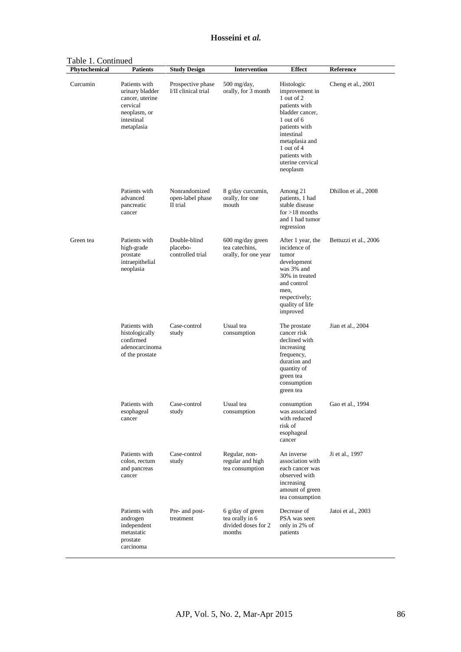Table 1. Continued

| rable <i>i</i> . Continued<br>Phytochemical | <b>Patients</b>                                                                                             | <b>Study Design</b>                           | <b>Intervention</b>                                                  | <b>Effect</b>                                                                                                                                                                                                | Reference             |
|---------------------------------------------|-------------------------------------------------------------------------------------------------------------|-----------------------------------------------|----------------------------------------------------------------------|--------------------------------------------------------------------------------------------------------------------------------------------------------------------------------------------------------------|-----------------------|
| Curcumin                                    | Patients with<br>urinary bladder<br>cancer, uterine<br>cervical<br>neoplasm, or<br>intestinal<br>metaplasia | Prospective phase<br>I/II clinical trial      | 500 mg/day,<br>orally, for 3 month                                   | Histologic<br>improvement in<br>1 out of 2<br>patients with<br>bladder cancer,<br>1 out of 6<br>patients with<br>intestinal<br>metaplasia and<br>1 out of 4<br>patients with<br>uterine cervical<br>neoplasm | Cheng et al., 2001    |
|                                             | Patients with<br>advanced<br>pancreatic<br>cancer                                                           | Nonrandomized<br>open-label phase<br>II trial | 8 g/day curcumin,<br>orally, for one<br>mouth                        | Among 21<br>patients, 1 had<br>stable disease<br>$for > 18$ months<br>and 1 had tumor<br>regression                                                                                                          | Dhillon et al., 2008  |
| Green tea                                   | Patients with<br>high-grade<br>prostate<br>intraepithelial<br>neoplasia                                     | Double-blind<br>placebo-<br>controlled trial  | 600 mg/day green<br>tea catechins,<br>orally, for one year           | After 1 year, the<br>incidence of<br>tumor<br>development<br>was 3% and<br>30% in treated<br>and control<br>men,<br>respectively;<br>quality of life<br>improved                                             | Bettuzzi et al., 2006 |
|                                             | Patients with<br>histologically<br>confirmed<br>adenocarcinoma<br>of the prostate                           | Case-control<br>study                         | Usual tea<br>consumption                                             | The prostate<br>cancer risk<br>declined with<br>increasing<br>frequency,<br>duration and<br>quantity of<br>green tea<br>consumption<br>green tea                                                             | Jian et al., 2004     |
|                                             | Patients with<br>esophageal<br>cancer                                                                       | Case-control<br>study                         | Usual tea<br>consumption                                             | consumption<br>was associated<br>with reduced<br>risk of<br>esophageal<br>cancer                                                                                                                             | Gao et al., 1994      |
|                                             | Patients with<br>colon, rectum<br>and pancreas<br>cancer                                                    | Case-control<br>study                         | Regular, non-<br>regular and high<br>tea consumption                 | An inverse<br>association with<br>each cancer was<br>observed with<br>increasing<br>amount of green<br>tea consumption                                                                                       | Ji et al., 1997       |
|                                             | Patients with<br>androgen<br>independent<br>metastatic<br>prostate<br>carcinoma                             | Pre- and post-<br>treatment                   | 6 g/day of green<br>tea orally in 6<br>divided doses for 2<br>months | Decrease of<br>PSA was seen<br>only in 2% of<br>patients                                                                                                                                                     | Jatoi et al., 2003    |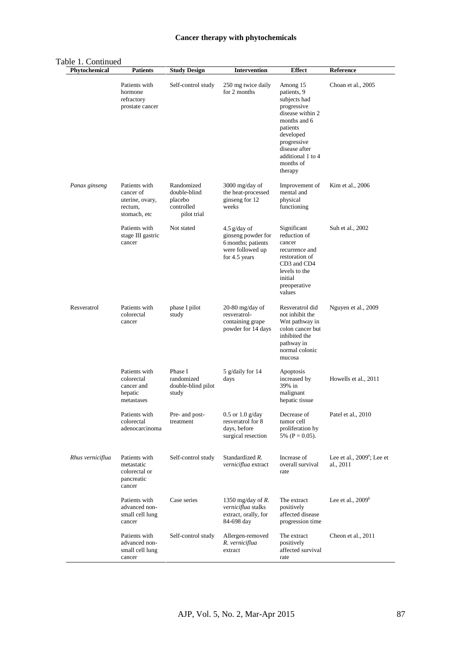#### **Cancer therapy with phytochemicals**

| <b>Phytochemical</b> | <b>Patients</b>                                                          | <b>Study Design</b>                                                | <b>Intervention</b>                                                                             | <b>Effect</b>                                                                                                                                                                                    | Reference                                           |
|----------------------|--------------------------------------------------------------------------|--------------------------------------------------------------------|-------------------------------------------------------------------------------------------------|--------------------------------------------------------------------------------------------------------------------------------------------------------------------------------------------------|-----------------------------------------------------|
|                      | Patients with<br>hormone<br>refractory<br>prostate cancer                | Self-control study                                                 | 250 mg twice daily<br>for 2 months                                                              | Among 15<br>patients, 9<br>subjects had<br>progressive<br>disease within 2<br>months and 6<br>patients<br>developed<br>progressive<br>disease after<br>additional 1 to 4<br>months of<br>therapy | Choan et al., 2005                                  |
| Panax ginseng        | Patients with<br>cancer of<br>uterine, ovary,<br>rectum,<br>stomach, etc | Randomized<br>double-blind<br>placebo<br>controlled<br>pilot trial | 3000 mg/day of<br>the heat-processed<br>ginseng for 12<br>weeks                                 | Improvement of<br>mental and<br>physical<br>functioning                                                                                                                                          | Kim et al., 2006                                    |
|                      | Patients with<br>stage III gastric<br>cancer                             | Not stated                                                         | $4.5$ g/day of<br>ginseng powder for<br>6 months; patients<br>were followed up<br>for 4.5 years | Significant<br>reduction of<br>cancer<br>recurrence and<br>restoration of<br>CD <sub>3</sub> and CD <sub>4</sub><br>levels to the<br>initial<br>preoperative<br>values                           | Suh et al., 2002                                    |
| Resveratrol          | Patients with<br>colorectal<br>cancer                                    | phase I pilot<br>study                                             | $20-80$ mg/day of<br>resveratrol-<br>containing grape<br>powder for 14 days                     | Resveratrol did<br>not inhibit the<br>Wnt pathway in<br>colon cancer but<br>inhibited the<br>pathway in<br>normal colonic<br>mucosa                                                              | Nguyen et al., 2009                                 |
|                      | Patients with<br>colorectal<br>cancer and<br>hepatic<br>metastases       | Phase I<br>randomized<br>double-blind pilot<br>study               | 5 g/daily for 14<br>days                                                                        | Apoptosis<br>increased by<br>39% in<br>malignant<br>hepatic tissue                                                                                                                               | Howells et al., 2011                                |
|                      | Patients with<br>colorectal<br>adenocarcinoma                            | Pre- and post-<br>treatment                                        | $0.5$ or $1.0$ g/day<br>resveratrol for 8<br>days, before<br>surgical resection                 | Decrease of<br>tumor cell<br>proliferation by<br>5% ( $P = 0.05$ ).                                                                                                                              | Patel et al., 2010                                  |
| Rhus verniciflua     | Patients with<br>metastatic<br>colorectal or<br>pancreatic<br>cancer     | Self-control study                                                 | Standardized R.<br>verniciflua extract                                                          | Increase of<br>overall survival<br>rate                                                                                                                                                          | Lee et al., 2009 <sup>a</sup> ; Lee et<br>al., 2011 |
|                      | Patients with<br>advanced non-<br>small cell lung<br>cancer              | Case series                                                        | 1350 mg/day of $R$ .<br>verniciflua stalks<br>extract, orally, for<br>84-698 day                | The extract<br>positively<br>affected disease<br>progression time                                                                                                                                | Lee et al., $2009b$                                 |
|                      | Patients with<br>advanced non-<br>small cell lung<br>cancer              | Self-control study                                                 | Allergen-removed<br>R. verniciflua<br>extract                                                   | The extract<br>positively<br>affected survival<br>rate                                                                                                                                           | Cheon et al., 2011                                  |

## Table 1. Continued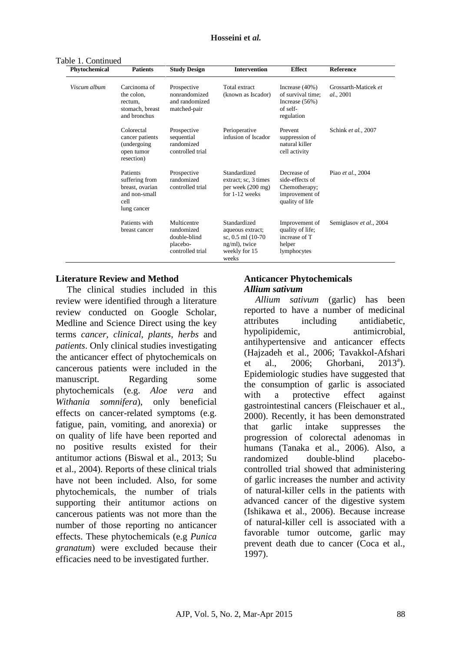Table 1. Continued

| Phytochemical | <b>Patients</b>                                                                       | <b>Study Design</b>                                                       | <b>Intervention</b>                                                                               | <b>Effect</b>                                                                        | <b>Reference</b>                  |
|---------------|---------------------------------------------------------------------------------------|---------------------------------------------------------------------------|---------------------------------------------------------------------------------------------------|--------------------------------------------------------------------------------------|-----------------------------------|
| Viscum album  | Carcinoma of<br>the colon.<br>rectum,<br>stomach, breast<br>and bronchus              | Prospective<br>nonrandomized<br>and randomized<br>matched-pair            | Total extract<br>(known as Iscador)                                                               | Increase $(40\%)$<br>of survival time:<br>Increase $(56%)$<br>of self-<br>regulation | Grossarth-Maticek et<br>al., 2001 |
|               | Colorectal<br>cancer patients<br>(undergoing)<br>open tumor<br>resection)             | Prospective<br>sequential<br>randomized<br>controlled trial               | Perioperative<br>infusion of Iscador                                                              | Prevent<br>suppression of<br>natural killer<br>cell activity                         | Schink et al., 2007               |
|               | Patients<br>suffering from<br>breast. ovarian<br>and non-small<br>cell<br>lung cancer | Prospective<br>randomized<br>controlled trial                             | Standardized<br>extract; sc, 3 times<br>per week (200 mg)<br>for 1-12 weeks                       | Decrease of<br>side-effects of<br>Chemotherapy;<br>improvement of<br>quality of life | Piao et al., 2004                 |
|               | Patients with<br>breast cancer                                                        | Multicentre<br>randomized<br>double-blind<br>placebo-<br>controlled trial | Standardized<br>aqueous extract;<br>sc, 0.5 ml (10-70)<br>ng/ml), twice<br>weekly for 15<br>weeks | Improvement of<br>quality of life;<br>increase of T<br>helper<br>lymphocytes         | Semiglasov et al., 2004           |

#### **Literature Review and Method**

The clinical studies included in this review were identified through a literature review conducted on Google Scholar, Medline and Science Direct using the key terms *cancer, clinical, plants*, *herbs* and *patients*. Only clinical studies investigating the anticancer effect of phytochemicals on cancerous patients were included in the manuscript. Regarding some phytochemicals (e.g. *Aloe vera* and *Withania somnifera*), only beneficial effects on cancer-related symptoms (e.g. fatigue, pain, vomiting, and anorexia) or on quality of life have been reported and no positive results existed for their antitumor actions (Biswal et al., 2013; Su et al., 2004). Reports of these clinical trials have not been included. Also, for some phytochemicals, the number of trials supporting their antitumor actions on cancerous patients was not more than the number of those reporting no anticancer effects. These phytochemicals (e.g *Punica granatum*) were excluded because their efficacies need to be investigated further.

#### **Anticancer Phytochemicals** *Allium sativum*

*Allium sativum* (garlic) has been reported to have a number of medicinal attributes including antidiabetic, hypolipidemic, antimicrobial, antihypertensive and anticancer effects (Hajzadeh et al., 2006; Tavakkol-Afshari et al., 2006; Ghorbani,  $2013^a$ ). Epidemiologic studies have suggested that the consumption of garlic is associated with a protective effect against gastrointestinal cancers (Fleischauer et al., 2000). Recently, it has been demonstrated that garlic intake suppresses the progression of colorectal adenomas in humans (Tanaka et al., 2006). Also, a randomized double-blind placebocontrolled trial showed that administering of garlic increases the number and activity of natural-killer cells in the patients with advanced cancer of the digestive system (Ishikawa et al., 2006). Because increase of natural-killer cell is associated with a favorable tumor outcome, garlic may prevent death due to cancer (Coca et al., 1997).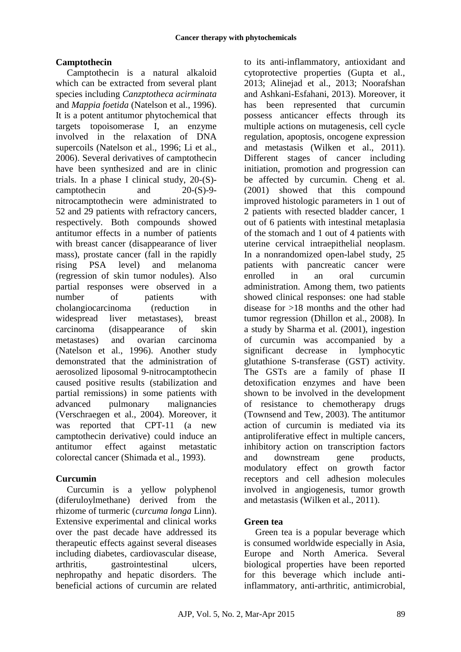## **Camptothecin**

Camptothecin is a natural alkaloid which can be extracted from several plant species including *Canzptotheca acirminata*  and *Mappia foetida* (Natelson et al., 1996). It is a potent antitumor phytochemical that targets topoisomerase I, an enzyme involved in the relaxation of DNA supercoils (Natelson et al., 1996; Li et al., 2006). Several derivatives of camptothecin have been synthesized and are in clinic trials. In a phase I clinical study, 20-(S) camptothecin and 20-(S)-9 nitrocamptothecin were administrated to 52 and 29 patients with refractory cancers, respectively. Both compounds showed antitumor effects in a number of patients with breast cancer (disappearance of liver mass), prostate cancer (fall in the rapidly rising PSA level) and melanoma (regression of skin tumor nodules). Also partial responses were observed in a number of patients with cholangiocarcinoma (reduction in widespread liver metastases), breast carcinoma (disappearance of skin metastases) and ovarian carcinoma (Natelson et al., 1996). Another study demonstrated that the administration of aerosolized liposomal 9-nitrocamptothecin caused positive results (stabilization and partial remissions) in some patients with advanced pulmonary malignancies (Verschraegen et al., 2004). Moreover, it was reported that CPT-11 (a new camptothecin derivative) could induce an antitumor effect against metastatic colorectal cancer (Shimada et al., 1993).

#### **Curcumin**

Curcumin is a yellow polyphenol (diferuloylmethane) derived from the rhizome of turmeric (*curcuma longa* Linn). Extensive experimental and clinical works over the past decade have addressed its therapeutic effects against several diseases including diabetes, cardiovascular disease, arthritis, gastrointestinal ulcers, nephropathy and hepatic disorders. The beneficial actions of curcumin are related

to its anti-inflammatory, antioxidant and cytoprotective properties (Gupta et al., 2013; Alinejad et al., 2013; Noorafshan and Ashkani-Esfahani, 2013). Moreover, it has been represented that curcumin possess anticancer effects through its multiple actions on mutagenesis, cell cycle regulation, apoptosis, oncogene expression and metastasis (Wilken et al., 2011). Different stages of cancer including initiation, promotion and progression can be affected by curcumin. Cheng et al. (2001) showed that this compound improved histologic parameters in 1 out of 2 patients with resected bladder cancer, 1 out of 6 patients with intestinal metaplasia of the stomach and 1 out of 4 patients with uterine cervical intraepithelial neoplasm. In a nonrandomized open-label study, 25 patients with pancreatic cancer were enrolled in an oral curcumin administration. Among them, two patients showed clinical responses: one had stable disease for >18 months and the other had tumor regression (Dhillon et al., 2008). In a study by Sharma et al. (2001), ingestion of curcumin was accompanied by a significant decrease in lymphocytic glutathione S-transferase (GST) activity. The GSTs are a family of phase II detoxification enzymes and have been shown to be involved in the development of resistance to chemotherapy drugs (Townsend and Tew, 2003). The antitumor action of curcumin is mediated via its antiproliferative effect in multiple cancers, inhibitory action on transcription factors and downstream gene products, modulatory effect on growth factor receptors and cell adhesion molecules involved in angiogenesis, tumor growth and metastasis (Wilken et al., 2011).

#### **Green tea**

Green tea is a popular beverage which is consumed worldwide especially in Asia, Europe and North America. Several biological properties have been reported for this beverage which include antiinflammatory, anti-arthritic, antimicrobial,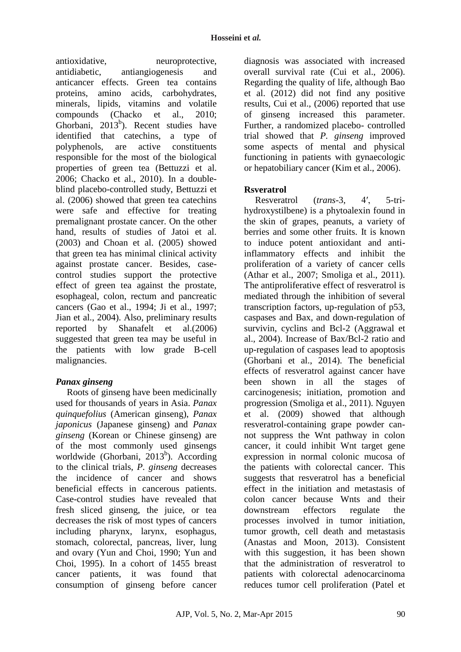antioxidative, neuroprotective, antidiabetic, antiangiogenesis and anticancer effects. Green tea contains proteins, amino acids, carbohydrates, minerals, lipids, vitamins and volatile compounds (Chacko et al., 2010; Ghorbani, 2013<sup>b</sup>). Recent studies have identified that catechins, a type of polyphenols, are active constituents responsible for the most of the biological properties of green tea (Bettuzzi et al. 2006; Chacko et al., 2010). In a doubleblind placebo-controlled study, Bettuzzi et al. (2006) showed that green tea catechins were safe and effective for treating premalignant prostate cancer. On the other hand, results of studies of Jatoi et al. (2003) and Choan et al. (2005) showed that green tea has minimal clinical activity against prostate cancer. Besides, casecontrol studies support the protective effect of green tea against the prostate, esophageal, colon, rectum and pancreatic cancers (Gao et al., 1994; Ji et al., 1997; Jian et al., 2004). Also, preliminary results reported by Shanafelt et al.(2006) suggested that green tea may be useful in the patients with low grade B-cell malignancies.

## *Panax ginseng*

Roots of ginseng have been medicinally used for thousands of years in Asia. *Panax quinquefolius* (American ginseng), *Panax japonicus* (Japanese ginseng) and *Panax ginseng* (Korean or Chinese ginseng) are of the most commonly used ginsengs worldwide (Ghorbani, 2013<sup>b</sup>). According to the clinical trials, *P. ginseng* decreases the incidence of cancer and shows beneficial effects in cancerous patients. Case-control studies have revealed that fresh sliced ginseng, the juice, or tea decreases the risk of most types of cancers including pharynx, larynx, esophagus, stomach, colorectal, pancreas, liver, lung and ovary (Yun and Choi, 1990; Yun and Choi, 1995). In a cohort of 1455 breast cancer patients, it was found that consumption of ginseng before cancer

diagnosis was associated with increased overall survival rate (Cui et al., 2006). Regarding the quality of life, although Bao et al. (2012) did not find any positive results, Cui et al., (2006) reported that use of ginseng increased this parameter. Further, a randomized placebo- controlled trial showed that *P. ginseng* improved some aspects of mental and physical functioning in patients with gynaecologic or hepatobiliary cancer (Kim et al., 2006).

### **Rsveratrol**

Resveratrol (*trans*-3, 4′, 5-trihydroxystilbene) is a phytoalexin found in the skin of grapes, peanuts, a variety of berries and some other fruits. It is known to induce potent antioxidant and antiinflammatory effects and inhibit the proliferation of a variety of cancer cells (Athar et al., 2007; Smoliga et al., 2011). The antiproliferative effect of resveratrol is mediated through the inhibition of several transcription factors, up-regulation of p53, caspases and Bax, and down-regulation of survivin, cyclins and Bcl-2 (Aggrawal et al., 2004). Increase of Bax/Bcl-2 ratio and up-regulation of caspases lead to apoptosis (Ghorbani et al., 2014). The beneficial effects of resveratrol against cancer have been shown in all the stages of carcinogenesis; initiation, promotion and progression (Smoliga et al., 2011). Nguyen et al. (2009) showed that although resveratrol-containing grape powder cannot suppress the Wnt pathway in colon cancer, it could inhibit Wnt target gene expression in normal colonic mucosa of the patients with colorectal cancer. This suggests that resveratrol has a beneficial effect in the initiation and metastasis of colon cancer because Wnts and their downstream effectors regulate the processes involved in tumor initiation, tumor growth, cell death and metastasis (Anastas and Moon, 2013). Consistent with this suggestion, it has been shown that the administration of resveratrol to patients with colorectal adenocarcinoma reduces tumor cell proliferation (Patel et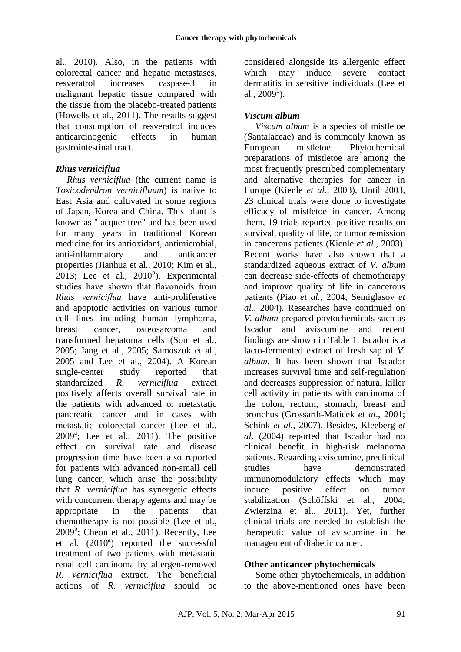al., 2010). Also, in the patients with colorectal cancer and hepatic metastases, resveratrol increases caspase-3 in malignant hepatic tissue compared with the tissue from the placebo-treated patients (Howells et al., 2011). The results suggest that consumption of resveratrol induces anticarcinogenic effects in human gastrointestinal tract.

### *Rhus verniciflua*

*Rhus verniciflua* (the current name is *Toxicodendron vernicifluum*) is native to East Asia and cultivated in some regions of Japan, Korea and China. This plant is known as "lacquer tree" and has been used for many years in traditional Korean medicine for its antioxidant, antimicrobial, anti-inflammatory and anticancer properties (Jianhua et al., 2010; Kim et al.,  $2013$ ; Lee et al.,  $2010<sup>b</sup>$ ). Experimental studies have shown that flavonoids from *Rhus verniciflua* have anti-proliferative and apoptotic activities on various tumor cell lines including human lymphoma, breast cancer, osteosarcoma and transformed hepatoma cells (Son et al*.,* 2005; Jang et al.*,* 2005; Samoszuk et al.*,* 2005 and Lee et al., 2004). A Korean single-center study reported that standardized *R. verniciflua* extract positively affects overall survival rate in the patients with advanced or metastatic pancreatic cancer and in cases with metastatic colorectal cancer (Lee et al., 2009<sup>a</sup>; Lee et al., 2011). The positive effect on survival rate and disease progression time have been also reported for patients with advanced non-small cell lung cancer, which arise the possibility that *R. verniciflua* has synergetic effects with concurrent therapy agents and may be appropriate in the patients that chemotherapy is not possible (Lee et al., 2009<sup>b</sup> ; Cheon et al., 2011). Recently, Lee et al.  $(2010<sup>a</sup>)$  reported the successful treatment of two patients with metastatic renal cell carcinoma by allergen-removed *R. verniciflua* extract. The beneficial actions of *R. verniciflua* should be considered alongside its allergenic effect which may induce severe contact dermatitis in sensitive individuals (Lee et al.,  $2009^b$ ).

## *Viscum album*

*Viscum album* is a species of mistletoe (Santalaceae) and is commonly known as European mistletoe. Phytochemical preparations of mistletoe are among the most frequently prescribed complementary and alternative therapies for cancer in Europe (Kienle *et al*., 2003). Until 2003, 23 clinical trials were done to investigate efficacy of mistletoe in cancer. Among them, 19 trials reported positive results on survival, quality of life, or tumor remission in cancerous patients (Kienle *et al.*, 2003). Recent works have also shown that a standardized aqueous extract of *V. album* can decrease side-effects of chemotherapy and improve quality of life in cancerous patients (Piao *et al.*, 2004; Semiglasov *et al.*, 2004). Researches have continued on *V. album*-prepared phytochemicals such as Iscador and aviscumine and recent findings are shown in Table 1. Iscador is a lacto-fermented extract of fresh sap of *V. album*. It has been shown that Iscador increases survival time and self-regulation and decreases suppression of natural killer cell activity in patients with carcinoma of the colon, rectum, stomach, breast and bronchus (Grossarth-Maticek *et al*., 2001; Schink *et al.*, 2007). Besides, Kleeberg *et al*. (2004) reported that Iscador had no clinical benefit in high-risk melanoma patients. Regarding aviscumine, preclinical studies have demonstrated immunomodulatory effects which may induce positive effect on tumor stabilization (Schöffski et al., 2004; Zwierzina et al., 2011). Yet, further clinical trials are needed to establish the therapeutic value of aviscumine in the management of diabetic cancer.

#### **Other anticancer phytochemicals**

Some other phytochemicals, in addition to the above-mentioned ones have been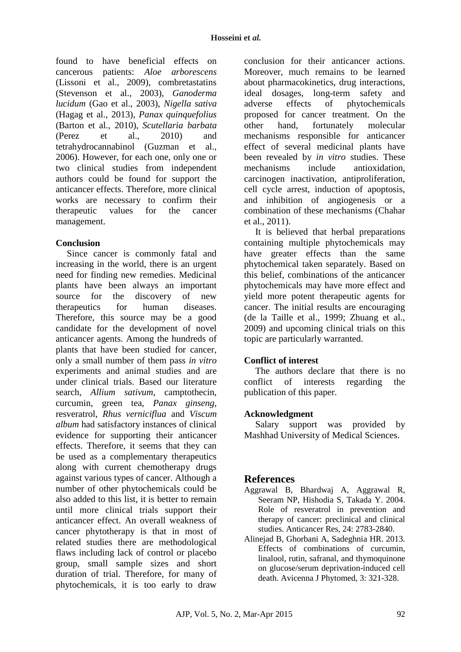found to have beneficial effects on cancerous patients: *Aloe arborescens* (Lissoni et al., 2009), combretastatins (Stevenson et al., 2003), *Ganoderma lucidum* (Gao et al., 2003), *Nigella sativa* (Hagag et al., 2013), *Panax quinquefolius* (Barton et al., 2010), *Scutellaria barbata* (Perez et al., 2010) and tetrahydrocannabinol (Guzman et al., 2006). However, for each one, only one or two clinical studies from independent authors could be found for support the anticancer effects. Therefore, more clinical works are necessary to confirm their therapeutic values for the cancer management.

### **Conclusion**

Since cancer is commonly fatal and increasing in the world, there is an urgent need for finding new remedies. Medicinal plants have been always an important source for the discovery of new therapeutics for human diseases. Therefore, this source may be a good candidate for the development of novel anticancer agents. Among the hundreds of plants that have been studied for cancer, only a small number of them pass *in vitro* experiments and animal studies and are under clinical trials. Based our literature search, *Allium sativum*, camptothecin, curcumin, green tea, *Panax ginseng*, resveratrol, *Rhus verniciflua* and *Viscum album* had satisfactory instances of clinical evidence for supporting their anticancer effects. Therefore, it seems that they can be used as a complementary therapeutics along with current chemotherapy drugs against various types of cancer. Although a number of other phytochemicals could be also added to this list, it is better to remain until more clinical trials support their anticancer effect. An overall weakness of cancer phytotherapy is that in most of related studies there are methodological flaws including lack of control or placebo group, small sample sizes and short duration of trial. Therefore, for many of phytochemicals, it is too early to draw

conclusion for their anticancer actions. Moreover, much remains to be learned about pharmacokinetics, drug interactions, ideal dosages, long-term safety and adverse effects of phytochemicals proposed for cancer treatment. On the other hand, fortunately molecular mechanisms responsible for anticancer effect of several medicinal plants have been revealed by *in vitro* studies. These mechanisms include antioxidation, carcinogen inactivation, antiproliferation, cell cycle arrest, induction of apoptosis, and inhibition of angiogenesis or a combination of these mechanisms (Chahar et al., 2011).

It is believed that herbal preparations containing multiple phytochemicals may have greater effects than the same phytochemical taken separately. Based on this belief, combinations of the anticancer phytochemicals may have more effect and yield more potent therapeutic agents for cancer. The initial results are encouraging (de la Taille et al., 1999; Zhuang et al., 2009) and upcoming clinical trials on this topic are particularly warranted.

## **Conflict of interest**

The authors declare that there is no conflict of interests regarding the publication of this paper.

#### **Acknowledgment**

Salary support was provided by Mashhad University of Medical Sciences.

# **References**

- Aggrawal B, Bhardwaj A, Aggrawal R, Seeram NP, Hishodia S, Takada Y. 2004. Role of resveratrol in prevention and therapy of cancer: preclinical and clinical studies. Anticancer Res, 24: 2783-2840.
- Alinejad B, Ghorbani A, Sadeghnia HR. 2013. Effects of combinations of curcumin, linalool, rutin, safranal, and thymoquinone on glucose/serum deprivation-induced cell death. Avicenna J Phytomed, 3: 321-328.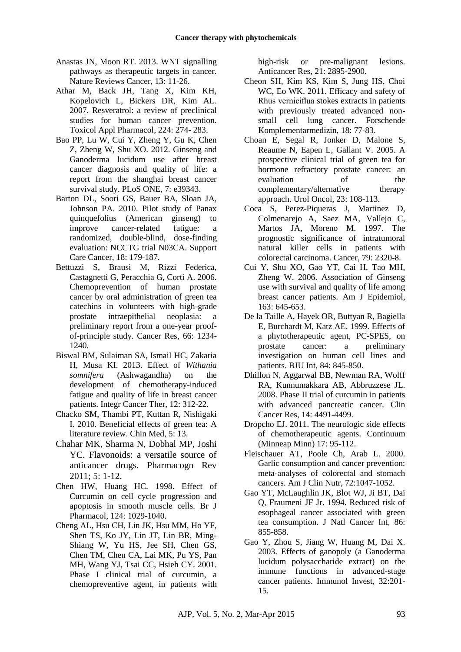- Anastas JN, Moon RT. 2013. WNT signalling pathways as therapeutic targets in cancer. Nature Reviews Cancer, 13: 11-26.
- Athar M, Back JH, Tang X, Kim KH, Kopelovich L, Bickers DR, Kim AL. 2007. Resveratrol: a review of preclinical studies for human cancer prevention. Toxicol Appl Pharmacol, 224: 274- 283.
- Bao PP, Lu W, Cui Y, Zheng Y, Gu K, Chen Z, Zheng W, Shu XO. 2012. Ginseng and Ganoderma lucidum use after breast cancer diagnosis and quality of life: a report from the shanghai breast cancer survival study. PLoS ONE, 7: e39343.
- Barton DL, Soori GS, Bauer BA, Sloan JA, Johnson PA. 2010. Pilot study of Panax quinquefolius (American ginseng) to improve cancer-related fatigue: a randomized, double-blind, dose-finding evaluation: NCCTG trial N03CA. Support Care Cancer, 18: 179-187.
- Bettuzzi S, Brausi M, Rizzi Federica, Castagnetti G, Peracchia G, Corti A. 2006. Chemoprevention of human prostate cancer by oral administration of green tea catechins in volunteers with high-grade prostate intraepithelial neoplasia: a preliminary report from a one-year proofof-principle study. Cancer Res, 66: 1234- 1240.
- Biswal BM, Sulaiman SA, Ismail HC, Zakaria H, Musa KI. 2013. Effect of *Withania somnifera* (Ashwagandha) on the development of chemotherapy-induced fatigue and quality of life in breast cancer patients. Integr Cancer Ther, 12: 312-22.
- Chacko SM, Thambi PT, Kuttan R, Nishigaki I. 2010. Beneficial effects of green tea: A literature review. Chin Med, 5: 13.
- Chahar MK, Sharma N, Dobhal MP, Joshi YC. Flavonoids: a versatile source of anticancer drugs. Pharmacogn Rev 2011; 5: 1-12.
- Chen HW, Huang HC. 1998. Effect of Curcumin on cell cycle progression and apoptosis in smooth muscle cells. Br J Pharmacol, 124: 1029-1040.
- Cheng AL, Hsu CH, Lin JK, Hsu MM, Ho YF, Shen TS, Ko JY, Lin JT, Lin BR, Ming-Shiang W, Yu HS, Jee SH, Chen GS, Chen TM, Chen CA, Lai MK, Pu YS, Pan MH, Wang YJ, Tsai CC, Hsieh CY. 2001. Phase I clinical trial of curcumin, a chemopreventive agent, in patients with

high-risk or pre-malignant lesions. Anticancer Res, 21: 2895-2900.

- Cheon SH, Kim KS, Kim S, Jung HS, Choi WC, Eo WK. 2011. Efficacy and safety of Rhus verniciflua stokes extracts in patients with previously treated advanced nonsmall cell lung cancer. Forschende Komplementarmedizin, 18: 77-83.
- [Choan E,](http://www.ncbi.nlm.nih.gov/pubmed?term=Choan%20E%5BAuthor%5D&cauthor=true&cauthor_uid=15869995) [Segal R,](http://www.ncbi.nlm.nih.gov/pubmed?term=Segal%20R%5BAuthor%5D&cauthor=true&cauthor_uid=15869995) [Jonker D,](http://www.ncbi.nlm.nih.gov/pubmed?term=Jonker%20D%5BAuthor%5D&cauthor=true&cauthor_uid=15869995) [Malone S,](http://www.ncbi.nlm.nih.gov/pubmed?term=Malone%20S%5BAuthor%5D&cauthor=true&cauthor_uid=15869995) [Reaume N,](http://www.ncbi.nlm.nih.gov/pubmed?term=Reaume%20N%5BAuthor%5D&cauthor=true&cauthor_uid=15869995) [Eapen L,](http://www.ncbi.nlm.nih.gov/pubmed?term=Eapen%20L%5BAuthor%5D&cauthor=true&cauthor_uid=15869995) [Gallant V.](http://www.ncbi.nlm.nih.gov/pubmed?term=Gallant%20V%5BAuthor%5D&cauthor=true&cauthor_uid=15869995) 2005. A prospective clinical trial of green tea for hormone refractory prostate cancer: an evaluation of the complementary/alternative therapy approach. Urol Oncol, 23: 108-113.
- [Coca S,](http://www.ncbi.nlm.nih.gov/pubmed?term=Coca%20S%5BAuthor%5D&cauthor=true&cauthor_uid=9191519) [Perez-Piqueras J,](http://www.ncbi.nlm.nih.gov/pubmed?term=Perez-Piqueras%20J%5BAuthor%5D&cauthor=true&cauthor_uid=9191519) [Martinez D,](http://www.ncbi.nlm.nih.gov/pubmed?term=Martinez%20D%5BAuthor%5D&cauthor=true&cauthor_uid=9191519) [Colmenarejo A,](http://www.ncbi.nlm.nih.gov/pubmed?term=Colmenarejo%20A%5BAuthor%5D&cauthor=true&cauthor_uid=9191519) [Saez MA,](http://www.ncbi.nlm.nih.gov/pubmed?term=Saez%20MA%5BAuthor%5D&cauthor=true&cauthor_uid=9191519) [Vallejo C,](http://www.ncbi.nlm.nih.gov/pubmed?term=Vallejo%20C%5BAuthor%5D&cauthor=true&cauthor_uid=9191519) [Martos JA,](http://www.ncbi.nlm.nih.gov/pubmed?term=Martos%20JA%5BAuthor%5D&cauthor=true&cauthor_uid=9191519) [Moreno M.](http://www.ncbi.nlm.nih.gov/pubmed?term=Moreno%20M%5BAuthor%5D&cauthor=true&cauthor_uid=9191519) 1997. The prognostic significance of intratumoral natural killer cells in patients with colorectal carcinoma. Cancer, 79: 2320-8.
- Cui Y, Shu XO, Gao YT, Cai H, Tao MH, Zheng W. 2006. Association of Ginseng use with survival and quality of life among breast cancer patients. Am J Epidemiol, 163: 645-653.
- De la Taille A, Hayek OR, Buttyan R, Bagiella E, Burchardt M, Katz AE. 1999. Effects of a phytotherapeutic agent, PC-SPES, on prostate cancer: a preliminary investigation on human cell lines and patients. BJU Int, 84: 845-850.
- Dhillon N, Aggarwal BB, Newman RA, Wolff RA, Kunnumakkara AB, Abbruzzese JL. 2008. Phase II trial of curcumin in patients with advanced pancreatic cancer. Clin Cancer Res, 14: 4491-4499.
- [Dropcho EJ.](http://www.ncbi.nlm.nih.gov/pubmed?term=Dropcho%20EJ%5BAuthor%5D&cauthor=true&cauthor_uid=22810790) 2011. The neurologic side effects of chemotherapeutic agents. Continuum (Minneap Minn) 17: 95-112.
- Fleischauer AT, Poole Ch, Arab L. 2000. Garlic consumption and cancer prevention: meta-analyses of colorectal and stomach cancers. Am J Clin Nutr, 72:1047-1052.
- [Gao YT,](http://www.ncbi.nlm.nih.gov/pubmed?term=Gao%20YT%5BAuthor%5D&cauthor=true&cauthor_uid=8182766) [McLaughlin JK,](http://www.ncbi.nlm.nih.gov/pubmed?term=McLaughlin%20JK%5BAuthor%5D&cauthor=true&cauthor_uid=8182766) [Blot WJ,](http://www.ncbi.nlm.nih.gov/pubmed?term=Blot%20WJ%5BAuthor%5D&cauthor=true&cauthor_uid=8182766) [Ji BT,](http://www.ncbi.nlm.nih.gov/pubmed?term=Ji%20BT%5BAuthor%5D&cauthor=true&cauthor_uid=8182766) [Dai](http://www.ncbi.nlm.nih.gov/pubmed?term=Dai%20Q%5BAuthor%5D&cauthor=true&cauthor_uid=8182766)  [Q,](http://www.ncbi.nlm.nih.gov/pubmed?term=Dai%20Q%5BAuthor%5D&cauthor=true&cauthor_uid=8182766) [Fraumeni JF Jr.](http://www.ncbi.nlm.nih.gov/pubmed?term=Fraumeni%20JF%20Jr%5BAuthor%5D&cauthor=true&cauthor_uid=8182766) 1994. Reduced risk of esophageal cancer associated with green tea consumption. [J Natl Cancer Int,](http://www.ncbi.nlm.nih.gov/pubmed/8182766) 86: 855-858.
- Gao Y, Zhou S, Jiang W, Huang M, Dai X. 2003. Effects of ganopoly (a Ganoderma lucidum polysaccharide extract) on the immune functions in advanced-stage cancer patients. Immunol Invest, 32:201- 15.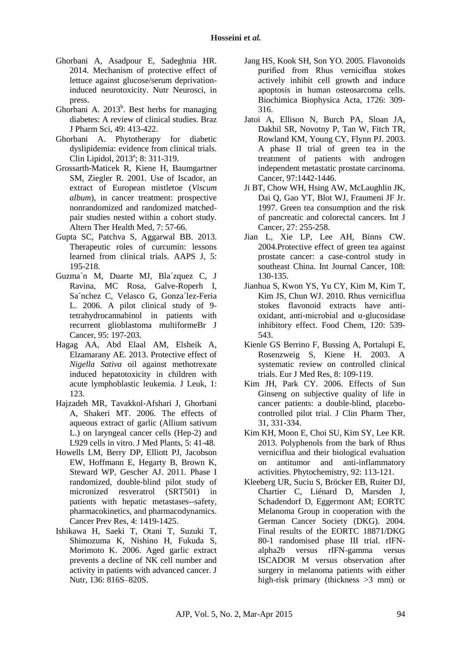- Ghorbani A, Asadpour E, Sadeghnia HR. 2014. Mechanism of protective effect of lettuce against glucose/serum deprivationinduced neurotoxicity. Nutr Neurosci, in press.
- Ghorbani A.  $2013^b$ . Best herbs for managing diabetes: A review of clinical studies. Braz J Pharm Sci, 49: 413-422.
- Ghorbani A. Phytotherapy for diabetic dyslipidemia: evidence from clinical trials. Clin Lipidol, 2013<sup>a</sup>; 8: 311-319.
- Grossarth-Maticek R, Kiene H, Baumgartner SM, Ziegler R. 2001. Use of Iscador, an extract of European mistletoe (*Viscum album*), in cancer treatment: prospective nonrandomized and randomized matchedpair studies nested within a cohort study. [Altern Ther Health Med,](http://www.ncbi.nlm.nih.gov/pubmed/?term=11347286) 7: 57-66.
- learned from clinical trials. [AAPS J,](http://link.springer.com/journal/12248) 5:<br>105.218 Gupta [SC,](http://link.springer.com/search?facet-author=%22Subash+C.+Gupta%22) Patchva [S,](http://link.springer.com/search?facet-author=%22Sridevi+Patchva%22) Aggarwal BB. 2013. Therapeutic roles of curcumin: lessons 195-218.
- **Q1** tetrahydrocannabinol in patients with Guzma´n M, Duarte MJ, Bla´zquez C, J Ravina, MC Rosa, Galve-Roperh I, Sa´nchez C, Velasco G, Gonza´lez-Feria L. 2006. A pilot clinical study of 9 recurrent glioblastoma multiformeBr J Cancer, 95: 197-203.
- Hagag AA, Abd Elaal AM, Elsheik A, Elzamarany AE. 2013. Protective effect of *Nigella Sativa* oil against methotrexate induced hepatotoxicity in children with acute lymphoblastic leukemia. J Leuk, 1: 123.
- Hajzadeh MR, Tavakkol-Afshari J, Ghorbani A, Shakeri MT. 2006. The effects of aqueous extract of garlic (Allium sativum L.) on laryngeal cancer cells (Hep-2) and L929 cells in vitro. J Med Plants, 5: 41-48.
- Howells LM, Berry DP, Elliott PJ, Jacobson EW, Hoffmann E, Hegarty B, Brown K, Steward WP, Gescher AJ. 2011. Phase I randomized, double-blind pilot study of micronized resveratrol (SRT501) in patients with hepatic metastases--safety, pharmacokinetics, and pharmacodynamics. Cancer Prev Res, 4: 1419-1425.
- Ishikawa H, Saeki T, Otani T, Suzuki T, Shimozuma K, Nishino H, Fukuda S, Morimoto K. 2006. Aged garlic extract prevents a decline of NK cell number and activity in patients with advanced cancer. J Nutr, 136: 816S–820S.
- Jang HS, Kook SH, Son YO. 2005. Flavonoids purified from Rhus verniciflua stokes actively inhibit cell growth and induce apoptosis in human osteosarcoma cells. Biochimica Biophysica Acta, 1726: 309- 316.
- [Jatoi A,](http://www.ncbi.nlm.nih.gov/pubmed?term=Jatoi%20A%5BAuthor%5D&cauthor=true&cauthor_uid=12627508) [Ellison N,](http://www.ncbi.nlm.nih.gov/pubmed?term=Ellison%20N%5BAuthor%5D&cauthor=true&cauthor_uid=12627508) [Burch PA,](http://www.ncbi.nlm.nih.gov/pubmed?term=Burch%20PA%5BAuthor%5D&cauthor=true&cauthor_uid=12627508) [Sloan JA,](http://www.ncbi.nlm.nih.gov/pubmed?term=Sloan%20JA%5BAuthor%5D&cauthor=true&cauthor_uid=12627508) [Dakhil SR,](http://www.ncbi.nlm.nih.gov/pubmed?term=Dakhil%20SR%5BAuthor%5D&cauthor=true&cauthor_uid=12627508) [Novotny P,](http://www.ncbi.nlm.nih.gov/pubmed?term=Novotny%20P%5BAuthor%5D&cauthor=true&cauthor_uid=12627508) [Tan W,](http://www.ncbi.nlm.nih.gov/pubmed?term=Tan%20W%5BAuthor%5D&cauthor=true&cauthor_uid=12627508) [Fitch TR,](http://www.ncbi.nlm.nih.gov/pubmed?term=Fitch%20TR%5BAuthor%5D&cauthor=true&cauthor_uid=12627508) [Rowland KM,](http://www.ncbi.nlm.nih.gov/pubmed?term=Rowland%20KM%5BAuthor%5D&cauthor=true&cauthor_uid=12627508) [Young CY,](http://www.ncbi.nlm.nih.gov/pubmed?term=Young%20CY%5BAuthor%5D&cauthor=true&cauthor_uid=12627508) [Flynn PJ.](http://www.ncbi.nlm.nih.gov/pubmed?term=Flynn%20PJ%5BAuthor%5D&cauthor=true&cauthor_uid=12627508) 2003. A phase II trial of green tea in the treatment of patients with androgen independent metastatic prostate carcinoma. [Cancer,](http://www.ncbi.nlm.nih.gov/pubmed/12627508) 97:1442-1446.
- [Ji BT,](http://www.ncbi.nlm.nih.gov/pubmed?term=Ji%20BT%5BAuthor%5D&cauthor=true&cauthor_uid=9033623) [Chow WH,](http://www.ncbi.nlm.nih.gov/pubmed?term=Chow%20WH%5BAuthor%5D&cauthor=true&cauthor_uid=9033623) [Hsing AW,](http://www.ncbi.nlm.nih.gov/pubmed?term=Hsing%20AW%5BAuthor%5D&cauthor=true&cauthor_uid=9033623) [McLaughlin JK,](http://www.ncbi.nlm.nih.gov/pubmed?term=McLaughlin%20JK%5BAuthor%5D&cauthor=true&cauthor_uid=9033623) [Dai Q,](http://www.ncbi.nlm.nih.gov/pubmed?term=Dai%20Q%5BAuthor%5D&cauthor=true&cauthor_uid=9033623) [Gao YT,](http://www.ncbi.nlm.nih.gov/pubmed?term=Gao%20YT%5BAuthor%5D&cauthor=true&cauthor_uid=9033623) [Blot WJ,](http://www.ncbi.nlm.nih.gov/pubmed?term=Blot%20WJ%5BAuthor%5D&cauthor=true&cauthor_uid=9033623) [Fraumeni JF Jr.](http://www.ncbi.nlm.nih.gov/pubmed?term=Fraumeni%20JF%20Jr%5BAuthor%5D&cauthor=true&cauthor_uid=9033623) 1997. Green tea consumption and the risk of pancreatic and colorectal cancers. [Int J](http://www.ncbi.nlm.nih.gov/pubmed/9033623)  [Cancer,](http://www.ncbi.nlm.nih.gov/pubmed/9033623) 27: 255-258.
- [Jian L,](http://www.ncbi.nlm.nih.gov/pubmed?term=Jian%20L%5BAuthor%5D&cauthor=true&cauthor_uid=14618627) [Xie LP,](http://www.ncbi.nlm.nih.gov/pubmed?term=Xie%20LP%5BAuthor%5D&cauthor=true&cauthor_uid=14618627) [Lee AH,](http://www.ncbi.nlm.nih.gov/pubmed?term=Lee%20AH%5BAuthor%5D&cauthor=true&cauthor_uid=14618627) [Binns CW.](http://www.ncbi.nlm.nih.gov/pubmed?term=Binns%20CW%5BAuthor%5D&cauthor=true&cauthor_uid=14618627) 2004.Protective effect of green tea against prostate cancer: a case-control study in southeast China. [Int Journal Cancer,](http://www.ncbi.nlm.nih.gov/pubmed/14618627) 108: 130-135.
- Jianhua S, Kwon YS, Yu CY, Kim M, Kim T, Kim JS, Chun WJ. 2010. Rhus verniciflua stokes flavonoid extracts have antioxidant, anti-microbial and α-glucosidase inhibitory effect. Food Chem, 120: 539- 543.
- Kienle GS Berrino F, Bussing A, Portalupi E, Rosenzweig S, Kiene H. 2003. A systematic review on controlled clinical trials. Eur J Med Res, 8: 109-119.
- Kim JH, Park CY. 2006. Effects of Sun Ginseng on subjective quality of life in cancer patients: a double-blind, placebocontrolled pilot trial. J Clin Pharm Ther, 31, 331-334.
- [Kim KH,](http://www.ncbi.nlm.nih.gov/pubmed?term=Kim%20KH%5BAuthor%5D&cauthor=true&cauthor_uid=23752101) [Moon E,](http://www.ncbi.nlm.nih.gov/pubmed?term=Moon%20E%5BAuthor%5D&cauthor=true&cauthor_uid=23752101) [Choi SU,](http://www.ncbi.nlm.nih.gov/pubmed?term=Choi%20SU%5BAuthor%5D&cauthor=true&cauthor_uid=23752101) [Kim SY,](http://www.ncbi.nlm.nih.gov/pubmed?term=Kim%20SY%5BAuthor%5D&cauthor=true&cauthor_uid=23752101) [Lee KR.](http://www.ncbi.nlm.nih.gov/pubmed?term=Lee%20KR%5BAuthor%5D&cauthor=true&cauthor_uid=23752101) 2013. Polyphenols from the bark of Rhus verniciflua and their biological evaluation on antitumor and anti-inflammatory activities. Phytochemistry, 92: 113-121.
- Kleeberg UR, Suciu S, Bröcker EB, Ruiter DJ, Chartier C, Liénard D, Marsden J, Schadendorf D, Eggermont AM; EORTC Melanoma Group in cooperation with the German Cancer Society (DKG). 2004. Final results of the EORTC 18871/DKG 80-1 randomised phase III trial. rIFNalpha2b versus rIFN-gamma versus ISCADOR M versus observation after surgery in melanoma patients with either high-risk primary (thickness >3 mm) or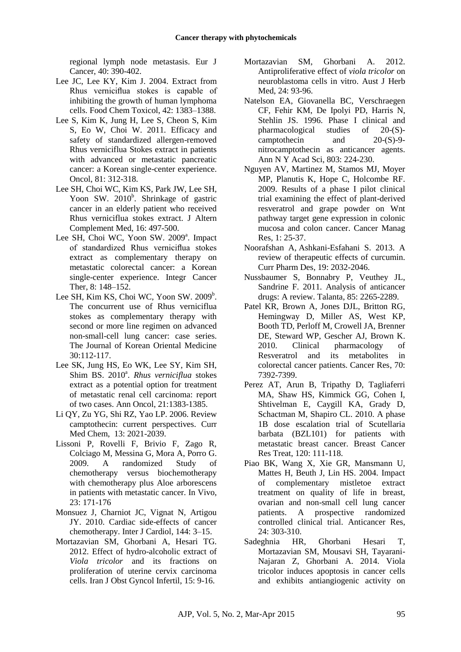regional lymph node metastasis. Eur J Cancer, 40: 390-402.

- Lee JC, Lee KY, Kim J. 2004. Extract from Rhus verniciflua stokes is capable of inhibiting the growth of human lymphoma cells. Food Chem Toxicol, 42: 1383–1388.
- [Lee S,](http://www.ncbi.nlm.nih.gov/pubmed?term=Lee%20S%5BAuthor%5D&cauthor=true&cauthor_uid=22179506) [Kim K,](http://www.ncbi.nlm.nih.gov/pubmed?term=Kim%20K%5BAuthor%5D&cauthor=true&cauthor_uid=22179506) [Jung H,](http://www.ncbi.nlm.nih.gov/pubmed?term=Jung%20H%5BAuthor%5D&cauthor=true&cauthor_uid=22179506) [Lee S,](http://www.ncbi.nlm.nih.gov/pubmed?term=Lee%20S%5BAuthor%5D&cauthor=true&cauthor_uid=22179506) [Cheon S,](http://www.ncbi.nlm.nih.gov/pubmed?term=Cheon%20S%5BAuthor%5D&cauthor=true&cauthor_uid=22179506) [Kim](http://www.ncbi.nlm.nih.gov/pubmed?term=Kim%20S%5BAuthor%5D&cauthor=true&cauthor_uid=22179506)  [S,](http://www.ncbi.nlm.nih.gov/pubmed?term=Kim%20S%5BAuthor%5D&cauthor=true&cauthor_uid=22179506) [Eo W,](http://www.ncbi.nlm.nih.gov/pubmed?term=Eo%20W%5BAuthor%5D&cauthor=true&cauthor_uid=22179506) [Choi W.](http://www.ncbi.nlm.nih.gov/pubmed?term=Choi%20W%5BAuthor%5D&cauthor=true&cauthor_uid=22179506) 2011. Efficacy and safety of standardized allergen-removed Rhus verniciflua Stokes extract in patients with advanced or metastatic pancreatic cancer: a Korean single-center experience. [Oncol,](http://www.ncbi.nlm.nih.gov/pubmed/22179506) 81: 312-318.
- [Lee SH,](http://www.ncbi.nlm.nih.gov/pubmed?term=Lee%20SH%5BAuthor%5D&cauthor=true&cauthor_uid=20423218) [Choi WC,](http://www.ncbi.nlm.nih.gov/pubmed?term=Choi%20WC%5BAuthor%5D&cauthor=true&cauthor_uid=20423218) [Kim KS,](http://www.ncbi.nlm.nih.gov/pubmed?term=Kim%20KS%5BAuthor%5D&cauthor=true&cauthor_uid=20423218) [Park JW,](http://www.ncbi.nlm.nih.gov/pubmed?term=Park%20JW%5BAuthor%5D&cauthor=true&cauthor_uid=20423218) [Lee SH,](http://www.ncbi.nlm.nih.gov/pubmed?term=Lee%20SH%5BAuthor%5D&cauthor=true&cauthor_uid=20423218) [Yoon SW.](http://www.ncbi.nlm.nih.gov/pubmed?term=Yoon%20SW%5BAuthor%5D&cauthor=true&cauthor_uid=20423218) 2010<sup>b</sup>. Shrinkage of gastric cancer in an elderly patient who received Rhus verniciflua stokes extract. [J Altern](http://www.ncbi.nlm.nih.gov/pubmed/20423218)  [Complement Med,](http://www.ncbi.nlm.nih.gov/pubmed/20423218) 16: 497-500.
- Lee SH, Choi WC, Yoon SW. 2009<sup>a</sup>. Impact of standardized Rhus verniciflua stokes extract as complementary therapy on metastatic colorectal cancer: a Korean single-center experience. Integr Cancer Ther, 8: 148–152.
- Lee SH, Kim KS, Choi WC, Yoon SW. 2009<sup>b</sup>. The concurrent use of Rhus verniciflua stokes as complementary therapy with second or more line regimen on advanced non-small-cell lung cancer: case series. The Journal of Korean Oriental Medicine 30:112-117.
- Lee [SK, J](http://annonc.oxfordjournals.org/search?author1=S.+K.+Lee&sortspec=date&submit=Submit)ung [HS, E](http://annonc.oxfordjournals.org/search?author1=H.+S.+Jung&sortspec=date&submit=Submit)o [WK, L](http://annonc.oxfordjournals.org/search?author1=W.+K.+Eo&sortspec=date&submit=Submit)ee [SY, K](http://annonc.oxfordjournals.org/search?author1=S.+Y.+Lee&sortspec=date&submit=Submit)im [SH,](http://annonc.oxfordjournals.org/search?author1=S.+H.+Kim&sortspec=date&submit=Submit)  Shim BS. 2010<sup>a</sup>. Rhus verniciflua stokes extract as a potential option for treatment of metastatic renal cell carcinoma: report of two cases. Ann Oncol, 21:1383-1385.
- Li QY, Zu YG, Shi RZ, Yao LP. 2006. Review camptothecin: current perspectives. [Curr](http://www.ncbi.nlm.nih.gov/pubmed/16842195)  [Med Chem,](http://www.ncbi.nlm.nih.gov/pubmed/16842195) 13: 2021-2039.
- Lissoni P, Rovelli F, Brivio F, Zago R, Colciago M, Messina G, Mora A, Porro G. 2009. A randomized Study of chemotherapy versus biochemotherapy with chemotherapy plus Aloe arborescens in patients with metastatic cancer. In Vivo, 23: 171-176
- Monsuez J, Charniot JC, Vignat N, Artigou JY. 2010. Cardiac side-effects of cancer chemotherapy. Inter J Cardiol, 144: 3–15.
- Mortazavian SM, Ghorbani A, Hesari TG. 2012. Effect of hydro-alcoholic extract of *Viola tricolor* and its fractions on proliferation of uterine cervix carcinoma cells. Iran J Obst Gyncol Infertil, 15: 9-16.
- Mortazavian SM, Ghorbani A. 2012. Antiproliferative effect of *viola tricolor* on neuroblastoma cells in vitro. Aust J Herb Med, 24: 93-96.
- [Natelson EA,](http://www.ncbi.nlm.nih.gov/pubmed?term=Natelson%20EA%5BAuthor%5D&cauthor=true&cauthor_uid=8993516) [Giovanella BC,](http://www.ncbi.nlm.nih.gov/pubmed?term=Giovanella%20BC%5BAuthor%5D&cauthor=true&cauthor_uid=8993516) [Verschraegen](http://www.ncbi.nlm.nih.gov/pubmed?term=Verschraegen%20CF%5BAuthor%5D&cauthor=true&cauthor_uid=8993516)  [CF,](http://www.ncbi.nlm.nih.gov/pubmed?term=Verschraegen%20CF%5BAuthor%5D&cauthor=true&cauthor_uid=8993516) [Fehir KM,](http://www.ncbi.nlm.nih.gov/pubmed?term=Fehir%20KM%5BAuthor%5D&cauthor=true&cauthor_uid=8993516) [De Ipolyi PD,](http://www.ncbi.nlm.nih.gov/pubmed?term=De%20Ipolyi%20PD%5BAuthor%5D&cauthor=true&cauthor_uid=8993516) [Harris N,](http://www.ncbi.nlm.nih.gov/pubmed?term=Harris%20N%5BAuthor%5D&cauthor=true&cauthor_uid=8993516) [Stehlin JS.](http://www.ncbi.nlm.nih.gov/pubmed?term=Stehlin%20JS%5BAuthor%5D&cauthor=true&cauthor_uid=8993516) 1996. Phase I clinical and pharmacological studies of 20-(S) camptothecin and 20-(S)-9 nitrocamptothecin as anticancer agents. Ann N Y Acad Sci, 803: 224-230.
- Nguyen AV, Martinez M, Stamos MJ, Moyer MP, Planutis K, Hope C, Holcombe RF. 2009. Results of a phase I pilot clinical trial examining the effect of plant-derived resveratrol and grape powder on Wnt pathway target gene expression in colonic mucosa and colon cancer. Cancer Manag Res, 1: 25-37.
- Noorafshan A, Ashkani-Esfahani S. 2013. A review of therapeutic effects of curcumin. [Curr Pharm Des,](http://www.ingentaconnect.com/content/ben/cpd) 19: 2032-2046.
- Nussbaumer S, Bonnabry P, Veuthey JL, Sandrine F. 2011. Analysis of anticancer drugs: A review. Talanta, 85: 2265-2289.
- Patel KR, Brown A, Jones DJL, Britton RG, Hemingway D, Miller AS, West KP, Booth TD, Perloff M, Crowell JA, Brenner DE, Steward WP, Gescher AJ, Brown K. 2010. Clinical pharmacology of Resveratrol and its metabolites in colorectal cancer patients. Cancer Res, 70: 7392-7399.
- Perez AT, Arun B, Tripathy D, Tagliaferri MA, Shaw HS, Kimmick GG, Cohen I, Shtivelman E, Caygill KA, Grady D, Schactman M, Shapiro CL. 2010. A phase 1B dose escalation trial of Scutellaria barbata (BZL101) for patients with metastatic breast cancer. Breast Cancer Res Treat, 120: 111-118.
- Piao BK, Wang X, Xie GR, Mansmann U, Mattes H, Beuth J, Lin HS. 2004. Impact of complementary mistletoe extract treatment on quality of life in breast, ovarian and non-small cell lung cancer patients. A prospective randomized controlled clinical trial. Anticancer Res, 24: 303-310.
- Sadeghnia HR, Ghorbani Hesari T, Mortazavian SM, Mousavi SH, Tayarani-Najaran Z, Ghorbani A. 2014. Viola tricolor induces apoptosis in cancer cells and exhibits antiangiogenic activity on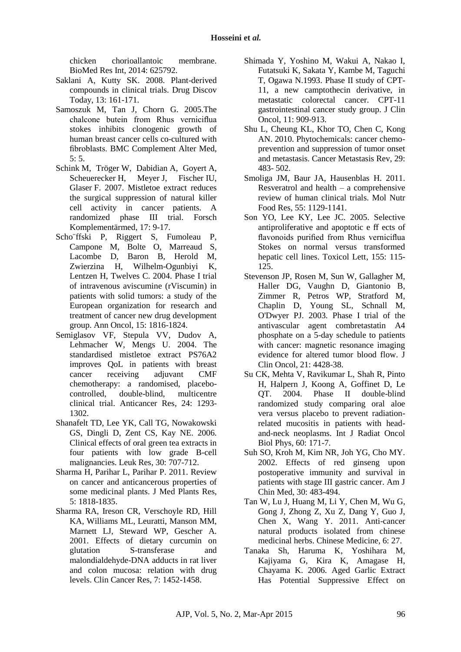chicken chorioallantoic membrane. BioMed Res Int, 2014: 625792.

- Saklani A, Kutty SK. 2008. Plant-derived compounds in clinical trials. Drug Discov Today, 13: 161-171.
- Samoszuk M, Tan J, Chorn G. 2005.The chalcone butein from Rhus verniciflua stokes inhibits clonogenic growth of human breast cancer cells co-cultured with fibroblasts. BMC Complement Alter Med, 5: 5.
- Schink M, Tröger W, Dabidian A, Goyert A, Scheuerecker H, Meyer J, Fischer IU, Glaser F. 2007. Mistletoe extract reduces the surgical suppression of natural killer cell activity in cancer patients. A randomized phase III trial. Forsch Komplementärmed, 17: 9-17.
- Scho¨ffski P, Riggert S, Fumoleau P, Campone M, Bolte O, Marreaud S, Lacombe D, Baron B, Herold M, Zwierzina H, Wilhelm-Ogunbiyi K, Lentzen H, Twelves C. 2004. Phase I trial of intravenous aviscumine (rViscumin) in patients with solid tumors: a study of the European organization for research and treatment of cancer new drug development group. Ann Oncol, 15: 1816-1824.
- Semiglasov VF, Stepula VV, Dudov A, Lehmacher W, Mengs U. 2004. The standardised mistletoe extract PS76A2 improves QoL in patients with breast cancer receiving adjuvant CMF chemotherapy: a randomised, placebocontrolled, double-blind, multicentre clinical trial. Anticancer Res, 24: 1293- 1302.
- Shanafelt TD, Lee YK, Call TG, Nowakowski GS, Dingli D, Zent CS, Kay NE. 2006. Clinical effects of oral green tea extracts in four patients with low grade B-cell malignancies. Leuk Res, 30: 707-712.
- Sharma H, Parihar L, Parihar P. 2011. Review on cancer and anticancerous properties of some medicinal plants. J Med Plants Res, 5: 1818-1835.
- Sharma RA, Ireson CR, Verschoyle RD, Hill KA, Williams ML, Leuratti, Manson MM, Marnett LJ, Steward WP, Gescher A. 2001. Effects of dietary curcumin on glutation S-transferase and malondialdehyde-DNA adducts in rat liver and colon mucosa: relation with drug levels. Clin Cancer Res, 7: 1452-1458.
- Shimada Y, Yoshino M, [Wakui A,](http://www.ncbi.nlm.nih.gov/pubmed?term=Wakui%20A%5BAuthor%5D&cauthor=true&cauthor_uid=8487053) [Nakao I,](http://www.ncbi.nlm.nih.gov/pubmed?term=Nakao%20I%5BAuthor%5D&cauthor=true&cauthor_uid=8487053) [Futatsuki K,](http://www.ncbi.nlm.nih.gov/pubmed?term=Futatsuki%20K%5BAuthor%5D&cauthor=true&cauthor_uid=8487053) Sakata Y, Kambe M, [Taguchi](http://www.ncbi.nlm.nih.gov/pubmed?term=Taguchi%20T%5BAuthor%5D&cauthor=true&cauthor_uid=8487053)  [T,](http://www.ncbi.nlm.nih.gov/pubmed?term=Taguchi%20T%5BAuthor%5D&cauthor=true&cauthor_uid=8487053) [Ogawa N.](http://www.ncbi.nlm.nih.gov/pubmed?term=Ogawa%20N%5BAuthor%5D&cauthor=true&cauthor_uid=8487053)1993. Phase II study of CPT-11, a new camptothecin derivative, in metastatic colorectal cancer. CPT-11 gastrointestinal cancer study group. J Clin Oncol, 11: 909-913.
- Shu L, Cheung KL, Khor TO, Chen C, Kong AN. 2010. Phytochemicals: cancer chemoprevention and suppression of tumor onset and metastasis. Cancer Metastasis Rev, 29: 483- 502.
- Smoliga JM, Baur JA, Hausenblas H. 2011. Resveratrol and health – a comprehensive review of human clinical trials. Mol Nutr Food Res, 55: 1129-1141.
- Son YO, Lee KY, Lee JC. 2005. Selective antiproliferative and apoptotic e ff ects of flavonoids purified from Rhus verniciflua Stokes on normal versus transformed hepatic cell lines. Toxicol Lett, 155: 115- 125.
- Stevenson JP, Rosen M, Sun W, Gallagher M, Haller DG, Vaughn D, Giantonio B, Zimmer R, Petros WP, Stratford M, Chaplin D, Young SL, Schnall M, O'Dwyer PJ. 2003. Phase I trial of the antivascular agent combretastatin A4 phosphate on a 5-day schedule to patients with cancer: magnetic resonance imaging evidence for altered tumor blood flow. J Clin Oncol, 21: 4428-38.
- Su CK, Mehta V, Ravikumar L, Shah R, Pinto H, Halpern J, Koong A, Goffinet D, Le QT. 2004. Phase II double-blind randomized study comparing oral aloe vera versus placebo to prevent radiationrelated mucositis in patients with headand-neck neoplasms. Int J Radiat Oncol Biol Phys, 60: 171-7.
- Suh SO, Kroh M, Kim NR, Joh YG, Cho MY. 2002. Effects of red ginseng upon postoperative immunity and survival in patients with stage III gastric cancer. Am J Chin Med, 30: 483-494.
- Tan W, Lu J, Huang M, Li Y, Chen M, Wu G, Gong J, Zhong Z, Xu Z, Dang Y, Guo J, Chen X, Wang Y. 2011. Anti-cancer natural products isolated from chinese medicinal herbs. Chinese Medicine, 6: 27.
- Tanaka Sh, Haruma K, Yoshihara M, Kajiyama G, Kira K, Amagase H, Chayama K. 2006. Aged Garlic Extract Has Potential Suppressive Effect on